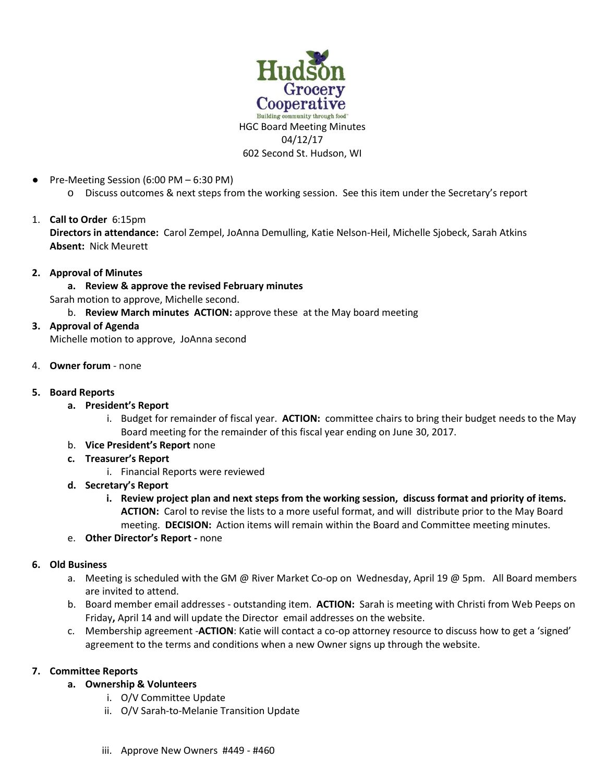

- Pre-Meeting Session (6:00 PM 6:30 PM)
	- o Discuss outcomes & next steps from the working session. See this item under the Secretary's report

# 1. **Call to Order** 6:15pm

**Directors in attendance:** Carol Zempel, JoAnna Demulling, Katie Nelson-Heil, Michelle Sjobeck, Sarah Atkins **Absent:** Nick Meurett

### **2. Approval of Minutes**

**a. Review & approve the revised February minutes**  Sarah motion to approve, Michelle second.

- b. **Review March minutes ACTION:** approve these at the May board meeting
- **3. Approval of Agenda** Michelle motion to approve, JoAnna second

4. **Owner forum** - none

- **5. Board Reports**
	- **a. President's Report**
		- i. Budget for remainder of fiscal year. **ACTION:** committee chairs to bring their budget needs to the May Board meeting for the remainder of this fiscal year ending on June 30, 2017.
	- b. **Vice President's Report** none
	- **c. Treasurer's Report** 
		- i. Financial Reports were reviewed
	- **d. Secretary's Report** 
		- **i. Review project plan and next steps from the working session, discuss format and priority of items. ACTION:** Carol to revise the lists to a more useful format, and will distribute prior to the May Board meeting. **DECISION:** Action items will remain within the Board and Committee meeting minutes.
	- e. **Other Director's Report -** none

## **6. Old Business**

- a. Meeting is scheduled with the GM @ River Market Co-op on Wednesday, April 19 @ 5pm. All Board members are invited to attend.
- b. Board member email addresses outstanding item. **ACTION:** Sarah is meeting with Christi from Web Peeps on Friday**,** April 14 and will update the Director email addresses on the website.
- c. Membership agreement -**ACTION**: Katie will contact a co-op attorney resource to discuss how to get a 'signed' agreement to the terms and conditions when a new Owner signs up through the website.

## **7. Committee Reports**

- **a. Ownership & Volunteers** 
	- i. O/V Committee Update
	- ii. O/V Sarah-to-Melanie Transition Update
	- iii. Approve New Owners #449 #460